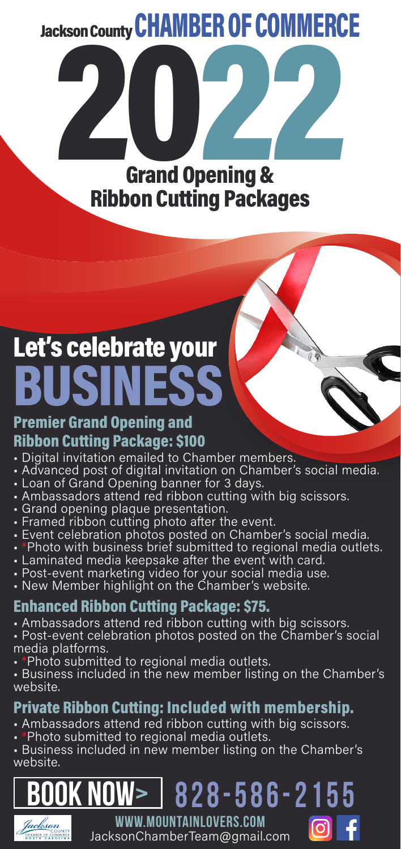Jackson County CHAMBER OF COMMERCE

ckson County UTAMDEN UT LUMMENT Grand Opening & Ribbon Cutting Packages

# Let's celebrate your **BUSINESS**

### Premier Grand Opening and Ribbon Cutting Package: \$100

- Digital invitation emailed to Chamber members.
- Advanced post of digital invitation on Chamber's social media.
- Loan of Grand Opening banner for 3 days.
- Ambassadors attend red ribbon cutting with big scissors.
- Grand opening plaque presentation.
- Framed ribbon cutting photo after the event.
- Event celebration photos posted on Chamber's social media.
- \*Photo with business brief submitted to regional media outlets.
- Laminated media keepsake after the event with card.
- Post-event marketing video for your social media use.
- New Member highlight on the Chamber's website.

### Enhanced Ribbon Cutting Package: \$75.

- Ambassadors attend red ribbon cutting with big scissors.
- Post-event celebration photos posted on the Chamber's social media platforms.
- \*Photo submitted to regional media outlets.
- Business included in the new member listing on the Chamber's website.

### Private Ribbon Cutting: Included with membership.

- Ambassadors attend red ribbon cutting with big scissors.
- \*Photo submitted to regional media outlets.
- Business included in new member listing on the Chamber's website.

## **BOOK NOW> 828-586-2155**



**www.MountainLovers.com**  JacksonChamberTeam@gmail.com